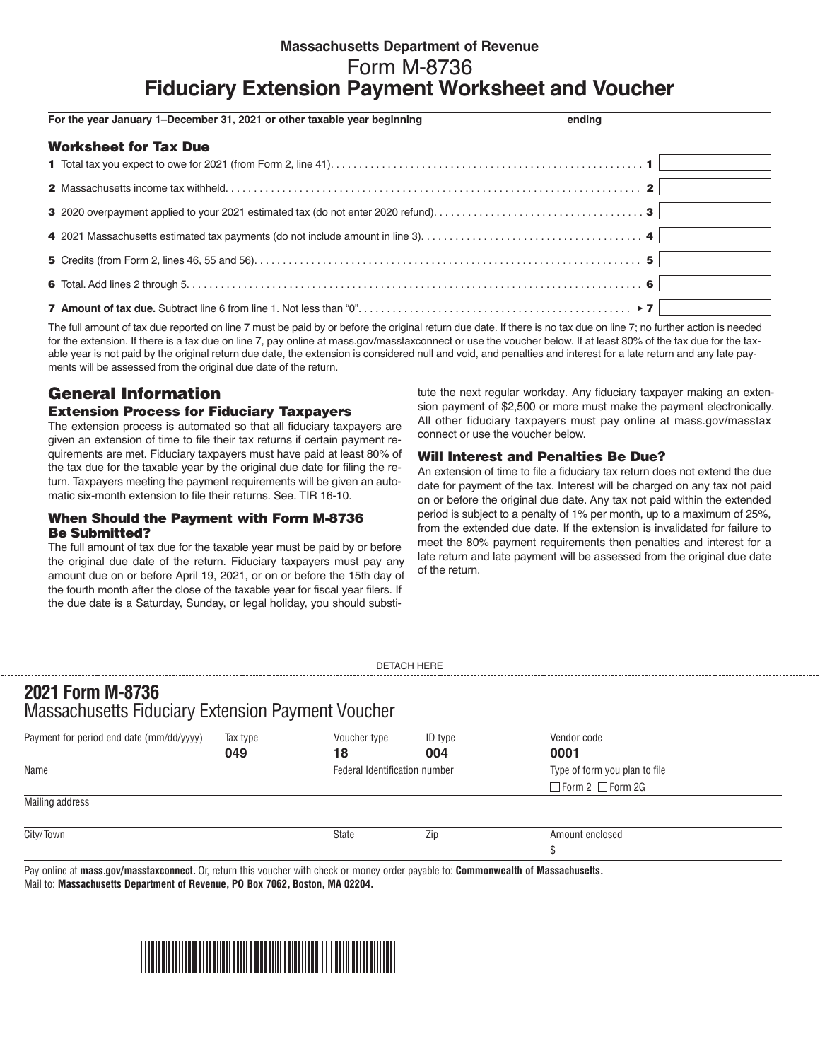# **Massachusetts Department of Revenue** Form M-8736 **Fiduciary Extension Payment Worksheet and Voucher**

| For the year January 1-December 31, 2021 or other taxable year beginning | ending |
|--------------------------------------------------------------------------|--------|
| <b>Worksheet for Tax Due</b>                                             |        |
|                                                                          |        |
|                                                                          |        |
|                                                                          |        |
|                                                                          |        |
|                                                                          |        |
|                                                                          |        |
|                                                                          |        |

The full amount of tax due reported on line 7 must be paid by or before the original return due date. If there is no tax due on line 7; no further action is needed for the extension. If there is a tax due on line 7, pay online at mass.gov/masstaxconnect or use the voucher below. If at least 80% of the tax due for the taxable year is not paid by the original return due date, the extension is considered null and void, and penalties and interest for a late return and any late payments will be assessed from the original due date of the return.

# General Information

## Extension Process for Fiduciary Taxpayers

The extension process is automated so that all fiduciary taxpayers are given an extension of time to file their tax returns if certain payment requirements are met. Fiduciary taxpayers must have paid at least 80% of the tax due for the taxable year by the original due date for filing the return. Taxpayers meeting the payment requirements will be given an automatic six-month extension to file their returns. See. TIR 16-10.

### When Should the Payment with Form M-8736 Be Submitted?

The full amount of tax due for the taxable year must be paid by or before the original due date of the return. Fiduciary taxpayers must pay any amount due on or before April 19, 2021, or on or before the 15th day of the fourth month after the close of the taxable year for fiscal year filers. If the due date is a Saturday, Sunday, or legal holiday, you should substitute the next regular workday. Any fiduciary taxpayer making an extension payment of \$2,500 or more must make the payment electronically. All other fiduciary taxpayers must pay online at mass.gov/masstax connect or use the voucher below.

## Will Interest and Penalties Be Due?

An extension of time to file a fiduciary tax return does not extend the due date for payment of the tax. Interest will be charged on any tax not paid on or before the original due date. Any tax not paid within the extended period is subject to a penalty of 1% per month, up to a maximum of 25%, from the extended due date. If the extension is invalidated for failure to meet the 80% payment requirements then penalties and interest for a late return and late payment will be assessed from the original due date of the return.

DETACH HERE

# **2021 Form M-8736**  Massachusetts Fiduciary Extension Payment Voucher

| Payment for period end date (mm/dd/yyyy) | Tax type | Voucher type                  | ID type | Vendor code                   |  |
|------------------------------------------|----------|-------------------------------|---------|-------------------------------|--|
|                                          | 049      | 18                            | 004     | 0001                          |  |
| Name                                     |          | Federal Identification number |         | Type of form you plan to file |  |
|                                          |          |                               |         | $\Box$ Form 2 $\Box$ Form 2G  |  |
| Mailing address                          |          |                               |         |                               |  |
| City/Town                                |          | State                         | Zip     | Amount enclosed               |  |
|                                          |          |                               |         | Ð                             |  |

Pay online at **mass.gov/masstaxconnect.** Or, return this voucher with check or money order payable to: **Commonwealth of Massachusetts.**  Mail to: **Massachusetts Department of Revenue, PO Box 7062, Boston, MA 02204.**